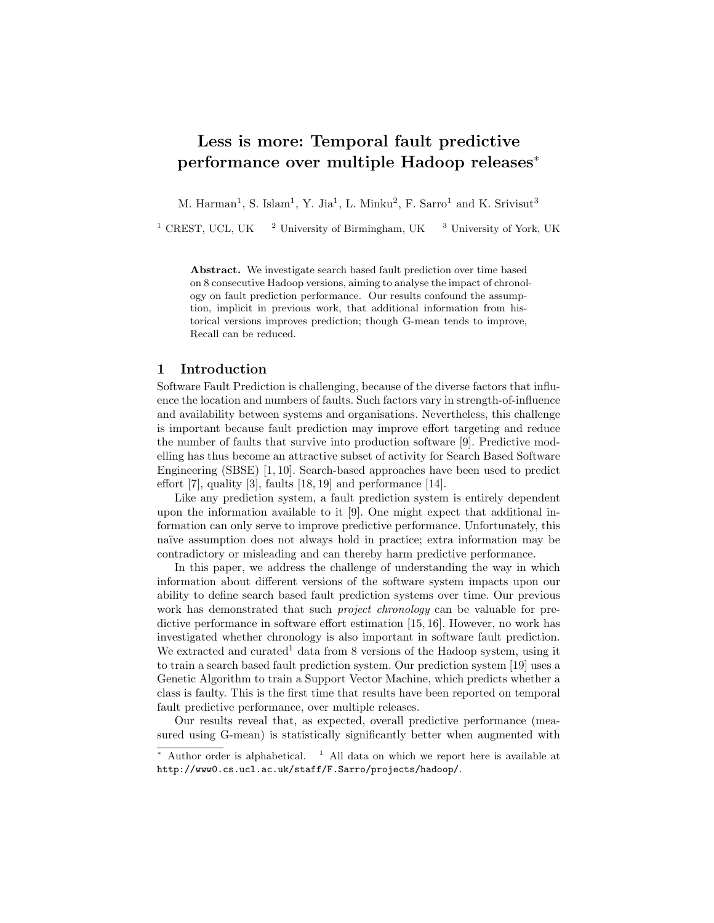# Less is more: Temporal fault predictive performance over multiple Hadoop releases<sup>∗</sup>

M. Harman<sup>1</sup>, S. Islam<sup>1</sup>, Y. Jia<sup>1</sup>, L. Minku<sup>2</sup>, F. Sarro<sup>1</sup> and K. Srivisut<sup>3</sup>

<sup>1</sup> CREST, UCL, UK <sup>2</sup> University of Birmingham, UK <sup>3</sup> University of York, UK

Abstract. We investigate search based fault prediction over time based on 8 consecutive Hadoop versions, aiming to analyse the impact of chronology on fault prediction performance. Our results confound the assumption, implicit in previous work, that additional information from historical versions improves prediction; though G-mean tends to improve, Recall can be reduced.

## 1 Introduction

Software Fault Prediction is challenging, because of the diverse factors that influence the location and numbers of faults. Such factors vary in strength-of-influence and availability between systems and organisations. Nevertheless, this challenge is important because fault prediction may improve effort targeting and reduce the number of faults that survive into production software [9]. Predictive modelling has thus become an attractive subset of activity for Search Based Software Engineering (SBSE) [1, 10]. Search-based approaches have been used to predict effort [7], quality [3], faults [18, 19] and performance [14].

Like any prediction system, a fault prediction system is entirely dependent upon the information available to it [9]. One might expect that additional information can only serve to improve predictive performance. Unfortunately, this naïve assumption does not always hold in practice; extra information may be contradictory or misleading and can thereby harm predictive performance.

In this paper, we address the challenge of understanding the way in which information about different versions of the software system impacts upon our ability to define search based fault prediction systems over time. Our previous work has demonstrated that such *project chronology* can be valuable for predictive performance in software effort estimation [15, 16]. However, no work has investigated whether chronology is also important in software fault prediction. We extracted and curated<sup>1</sup> data from 8 versions of the Hadoop system, using it to train a search based fault prediction system. Our prediction system [19] uses a Genetic Algorithm to train a Support Vector Machine, which predicts whether a class is faulty. This is the first time that results have been reported on temporal fault predictive performance, over multiple releases.

Our results reveal that, as expected, overall predictive performance (measured using G-mean) is statistically significantly better when augmented with

 $*$  Author order is alphabetical.  $1$  All data on which we report here is available at http://www0.cs.ucl.ac.uk/staff/F.Sarro/projects/hadoop/.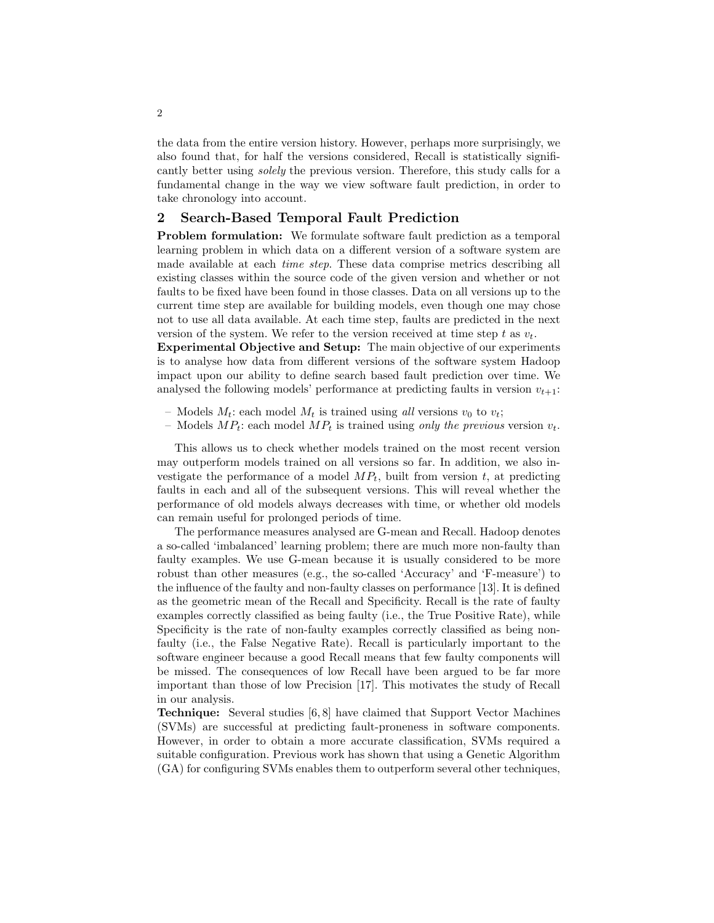the data from the entire version history. However, perhaps more surprisingly, we also found that, for half the versions considered, Recall is statistically significantly better using *solely* the previous version. Therefore, this study calls for a fundamental change in the way we view software fault prediction, in order to take chronology into account.

## 2 Search-Based Temporal Fault Prediction

Problem formulation: We formulate software fault prediction as a temporal learning problem in which data on a different version of a software system are made available at each *time step*. These data comprise metrics describing all existing classes within the source code of the given version and whether or not faults to be fixed have been found in those classes. Data on all versions up to the current time step are available for building models, even though one may chose not to use all data available. At each time step, faults are predicted in the next version of the system. We refer to the version received at time step t as  $v_t$ .

Experimental Objective and Setup: The main objective of our experiments is to analyse how data from different versions of the software system Hadoop impact upon our ability to define search based fault prediction over time. We analysed the following models' performance at predicting faults in version  $v_{t+1}$ :

- Models  $M_t$ : each model  $M_t$  is trained using all versions  $v_0$  to  $v_t$ ;
- Models  $MP_t$ : each model  $MP_t$  is trained using only the previous version  $v_t$ .

This allows us to check whether models trained on the most recent version may outperform models trained on all versions so far. In addition, we also investigate the performance of a model  $MP_t$ , built from version t, at predicting faults in each and all of the subsequent versions. This will reveal whether the performance of old models always decreases with time, or whether old models can remain useful for prolonged periods of time.

The performance measures analysed are G-mean and Recall. Hadoop denotes a so-called 'imbalanced' learning problem; there are much more non-faulty than faulty examples. We use G-mean because it is usually considered to be more robust than other measures (e.g., the so-called 'Accuracy' and 'F-measure') to the influence of the faulty and non-faulty classes on performance [13]. It is defined as the geometric mean of the Recall and Specificity. Recall is the rate of faulty examples correctly classified as being faulty (i.e., the True Positive Rate), while Specificity is the rate of non-faulty examples correctly classified as being nonfaulty (i.e., the False Negative Rate). Recall is particularly important to the software engineer because a good Recall means that few faulty components will be missed. The consequences of low Recall have been argued to be far more important than those of low Precision [17]. This motivates the study of Recall in our analysis.

Technique: Several studies [6, 8] have claimed that Support Vector Machines (SVMs) are successful at predicting fault-proneness in software components. However, in order to obtain a more accurate classification, SVMs required a suitable configuration. Previous work has shown that using a Genetic Algorithm (GA) for configuring SVMs enables them to outperform several other techniques,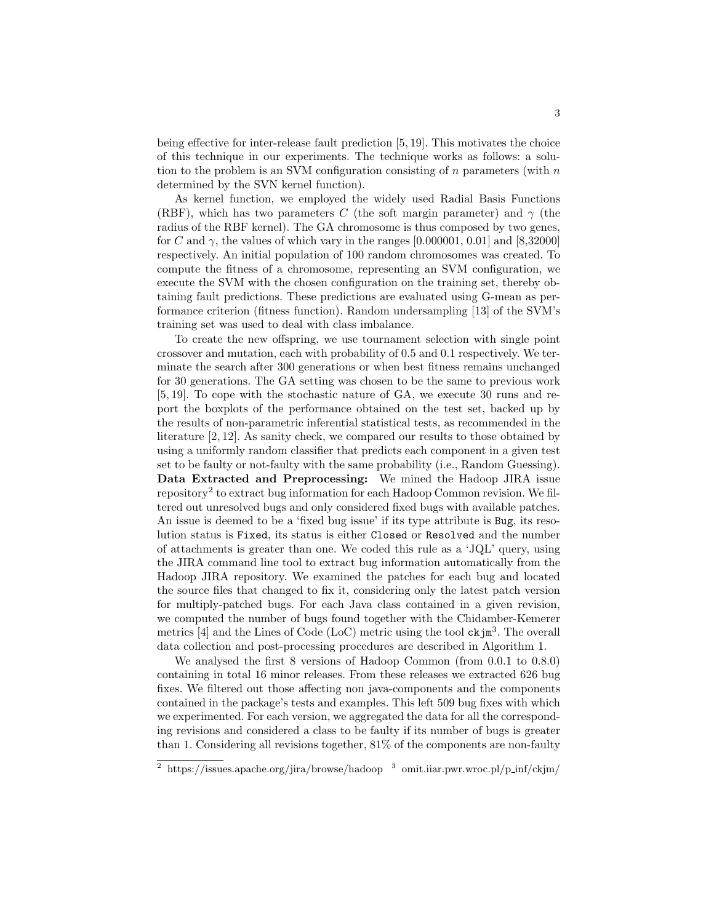being effective for inter-release fault prediction [5, 19]. This motivates the choice of this technique in our experiments. The technique works as follows: a solution to the problem is an SVM configuration consisting of  $n$  parameters (with  $n$ determined by the SVN kernel function).

As kernel function, we employed the widely used Radial Basis Functions (RBF), which has two parameters C (the soft margin parameter) and  $\gamma$  (the radius of the RBF kernel). The GA chromosome is thus composed by two genes, for C and  $\gamma$ , the values of which vary in the ranges [0.000001, 0.01] and [8,32000] respectively. An initial population of 100 random chromosomes was created. To compute the fitness of a chromosome, representing an SVM configuration, we execute the SVM with the chosen configuration on the training set, thereby obtaining fault predictions. These predictions are evaluated using G-mean as performance criterion (fitness function). Random undersampling [13] of the SVM's training set was used to deal with class imbalance.

To create the new offspring, we use tournament selection with single point crossover and mutation, each with probability of 0.5 and 0.1 respectively. We terminate the search after 300 generations or when best fitness remains unchanged for 30 generations. The GA setting was chosen to be the same to previous work [5, 19]. To cope with the stochastic nature of GA, we execute 30 runs and report the boxplots of the performance obtained on the test set, backed up by the results of non-parametric inferential statistical tests, as recommended in the literature [2, 12]. As sanity check, we compared our results to those obtained by using a uniformly random classifier that predicts each component in a given test set to be faulty or not-faulty with the same probability (i.e., Random Guessing). Data Extracted and Preprocessing: We mined the Hadoop JIRA issue repository<sup>2</sup> to extract bug information for each Hadoop Common revision. We filtered out unresolved bugs and only considered fixed bugs with available patches. An issue is deemed to be a 'fixed bug issue' if its type attribute is Bug, its resolution status is Fixed, its status is either Closed or Resolved and the number of attachments is greater than one. We coded this rule as a 'JQL' query, using the JIRA command line tool to extract bug information automatically from the Hadoop JIRA repository. We examined the patches for each bug and located the source files that changed to fix it, considering only the latest patch version for multiply-patched bugs. For each Java class contained in a given revision, we computed the number of bugs found together with the Chidamber-Kemerer metrics [4] and the Lines of Code (LoC) metric using the tool ckjm<sup>3</sup>. The overall data collection and post-processing procedures are described in Algorithm 1.

We analysed the first 8 versions of Hadoop Common (from 0.0.1 to 0.8.0) containing in total 16 minor releases. From these releases we extracted 626 bug fixes. We filtered out those affecting non java-components and the components contained in the package's tests and examples. This left 509 bug fixes with which we experimented. For each version, we aggregated the data for all the corresponding revisions and considered a class to be faulty if its number of bugs is greater than 1. Considering all revisions together, 81% of the components are non-faulty

<sup>&</sup>lt;sup>2</sup> https://issues.apache.org/jira/browse/hadoop <sup>3</sup> omit.iiar.pwr.wroc.pl/p\_inf/ckjm/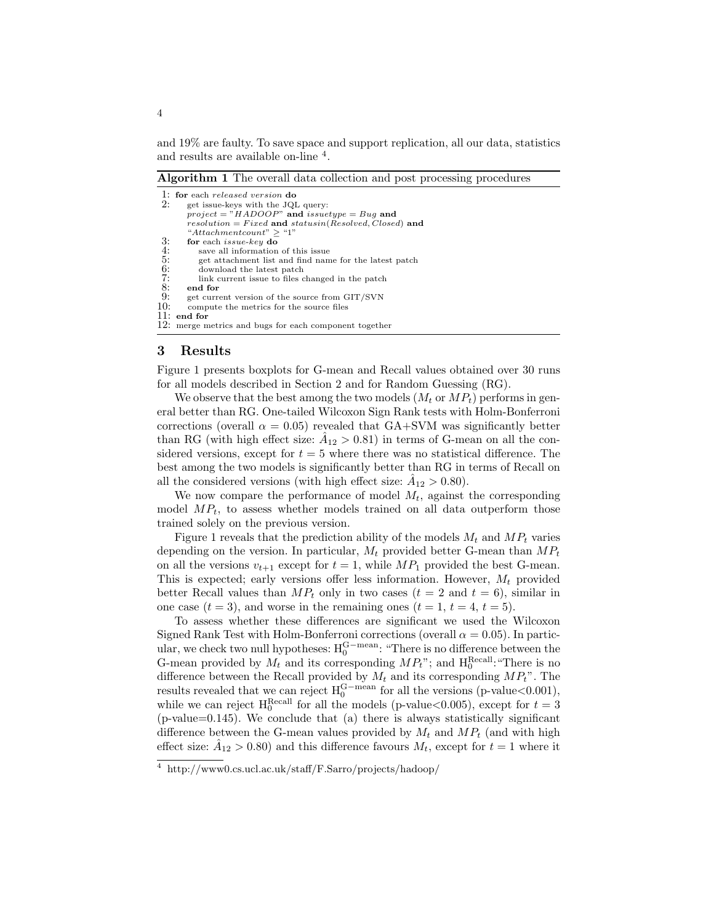and 19% are faulty. To save space and support replication, all our data, statistics and results are available on-line  $4$ .

Algorithm 1 The overall data collection and post processing procedures

| 1: for each released version do                           |
|-----------------------------------------------------------|
| get issue-keys with the JQL query:                        |
| project = "HADOOP" and issuetype = Bug and                |
| $resolution = Fixed$ and $statusin(Resolved, Closed)$ and |
| "Attachmentcount" > "1"                                   |
| for each <i>issue-key</i> do                              |
| save all information of this issue                        |
| get attachment list and find name for the latest patch    |
| download the latest patch                                 |
| link current issue to files changed in the patch          |
| end for                                                   |
| get current version of the source from GIT/SVN            |
| compute the metrics for the source files                  |
| 11:<br>end for                                            |
| 12: merge metrics and bugs for each component together    |
|                                                           |

#### 3 Results

Figure 1 presents boxplots for G-mean and Recall values obtained over 30 runs for all models described in Section 2 and for Random Guessing (RG).

We observe that the best among the two models  $(M_t \text{ or } MP_t)$  performs in general better than RG. One-tailed Wilcoxon Sign Rank tests with Holm-Bonferroni corrections (overall  $\alpha = 0.05$ ) revealed that GA+SVM was significantly better than RG (with high effect size:  $\hat{A}_{12} > 0.81$ ) in terms of G-mean on all the considered versions, except for  $t = 5$  where there was no statistical difference. The best among the two models is significantly better than RG in terms of Recall on all the considered versions (with high effect size:  $\hat{A}_{12} > 0.80$ ).

We now compare the performance of model  $M_t$ , against the corresponding model  $MP_t$ , to assess whether models trained on all data outperform those trained solely on the previous version.

Figure 1 reveals that the prediction ability of the models  $M_t$  and  $MP_t$  varies depending on the version. In particular,  $M_t$  provided better G-mean than  $MP_t$ on all the versions  $v_{t+1}$  except for  $t = 1$ , while  $MP_1$  provided the best G-mean. This is expected; early versions offer less information. However,  $M_t$  provided better Recall values than  $MP_t$  only in two cases  $(t = 2$  and  $t = 6)$ , similar in one case  $(t = 3)$ , and worse in the remaining ones  $(t = 1, t = 4, t = 5)$ .

To assess whether these differences are significant we used the Wilcoxon Signed Rank Test with Holm-Bonferroni corrections (overall  $\alpha = 0.05$ ). In particular, we check two null hypotheses:  $H_0^{G-mean}$ : "There is no difference between the G-mean provided by  $M_t$  and its corresponding  $MP_t$ "; and  $H_0^{\text{Recall}}$ : "There is no difference between the Recall provided by  $M_t$  and its corresponding  $MP_t$ ". The results revealed that we can reject  $H_0^{G-mean}$  for all the versions (p-value<0.001), while we can reject  $H_0^{\text{Recall}}$  for all the models (p-value < 0.005), except for  $t = 3$  $(p-value=0.145)$ . We conclude that  $(a)$  there is always statistically significant difference between the G-mean values provided by  $M_t$  and  $MP_t$  (and with high effect size:  $\hat{A}_{12} > 0.80$ ) and this difference favours  $M_t$ , except for  $t = 1$  where it

<sup>4</sup> http://www0.cs.ucl.ac.uk/staff/F.Sarro/projects/hadoop/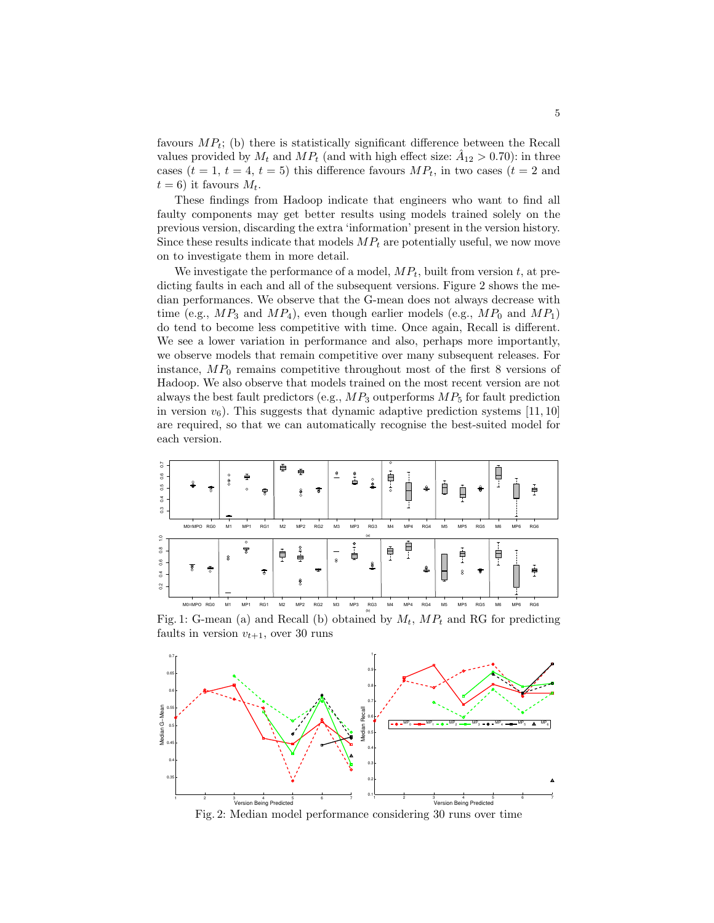favours  $MP_t$ ; (b) there is statistically significant difference between the Recall values provided by  $M_t$  and  $MP_t$  (and with high effect size:  $\hat{A}_{12} > 0.70$ ): in three cases  $(t = 1, t = 4, t = 5)$  this difference favours  $MP_t$ , in two cases  $(t = 2$  and  $t = 6$ ) it favours  $M_t$ .

These findings from Hadoop indicate that engineers who want to find all faulty components may get better results using models trained solely on the previous version, discarding the extra 'information' present in the version history. Since these results indicate that models  $MP_t$  are potentially useful, we now move on to investigate them in more detail.

We investigate the performance of a model,  $MP_t$ , built from version t, at predicting faults in each and all of the subsequent versions. Figure 2 shows the median performances. We observe that the G-mean does not always decrease with time (e.g.,  $MP_3$  and  $MP_4$ ), even though earlier models (e.g.,  $MP_0$  and  $MP_1$ ) do tend to become less competitive with time. Once again, Recall is different. We see a lower variation in performance and also, perhaps more importantly, we observe models that remain competitive over many subsequent releases. For instance,  $MP_0$  remains competitive throughout most of the first 8 versions of Hadoop. We also observe that models trained on the most recent version are not always the best fault predictors (e.g.,  $MP_3$  outperforms  $MP_5$  for fault prediction in version  $v_6$ ). This suggests that dynamic adaptive prediction systems [11, 10] are required, so that we can automatically recognise the best-suited model for each version.



Fig. 1: G-mean (a) and Recall (b) obtained by  $M_t$ ,  $MP_t$  and RG for predicting faults in version  $v_{t+1}$ , over 30 runs



5